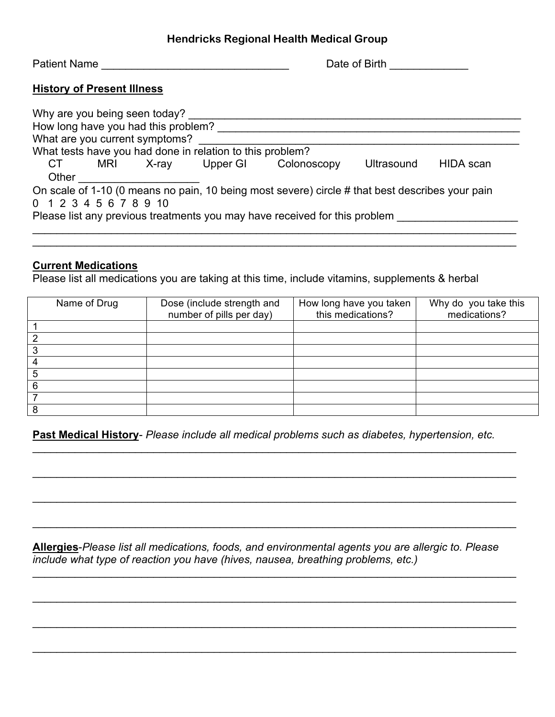#### **Hendricks Regional Health Medical Group**

Patient Name \_\_\_\_\_\_\_\_\_\_\_\_\_\_\_\_\_\_\_\_\_\_\_\_\_\_\_\_\_\_\_ Date of Birth \_\_\_\_\_\_\_\_\_\_\_\_\_

### **History of Present Illness**

| Why are you being seen today?<br>How long have you had this problem?                            |     |          |          |             |            |                  |  |
|-------------------------------------------------------------------------------------------------|-----|----------|----------|-------------|------------|------------------|--|
| What are you current symptoms?                                                                  |     |          |          |             |            |                  |  |
| What tests have you had done in relation to this problem?                                       |     |          |          |             |            |                  |  |
| CT.                                                                                             | MRI | $X$ -ray | Upper GI | Colonoscopy | Ultrasound | <b>HIDA</b> scan |  |
| Other                                                                                           |     |          |          |             |            |                  |  |
| On scale of 1-10 (0 means no pain, 10 being most severe) circle # that best describes your pain |     |          |          |             |            |                  |  |
| 0 1 2 3 4 5 6 7 8 9 10                                                                          |     |          |          |             |            |                  |  |
| Please list any previous treatments you may have received for this problem                      |     |          |          |             |            |                  |  |
|                                                                                                 |     |          |          |             |            |                  |  |

\_\_\_\_\_\_\_\_\_\_\_\_\_\_\_\_\_\_\_\_\_\_\_\_\_\_\_\_\_\_\_\_\_\_\_\_\_\_\_\_\_\_\_\_\_\_\_\_\_\_\_\_\_\_\_\_\_\_\_\_\_\_\_\_\_\_\_\_\_\_\_\_\_\_\_\_\_\_\_\_

#### **Current Medications**

Please list all medications you are taking at this time, include vitamins, supplements & herbal

| Name of Drug | Dose (include strength and<br>number of pills per day) | How long have you taken<br>this medications? | Why do you take this<br>medications? |
|--------------|--------------------------------------------------------|----------------------------------------------|--------------------------------------|
|              |                                                        |                                              |                                      |
|              |                                                        |                                              |                                      |
|              |                                                        |                                              |                                      |
|              |                                                        |                                              |                                      |
|              |                                                        |                                              |                                      |
|              |                                                        |                                              |                                      |
|              |                                                        |                                              |                                      |
|              |                                                        |                                              |                                      |

**Past Medical History**- *Please include all medical problems such as diabetes, hypertension, etc.*

\_\_\_\_\_\_\_\_\_\_\_\_\_\_\_\_\_\_\_\_\_\_\_\_\_\_\_\_\_\_\_\_\_\_\_\_\_\_\_\_\_\_\_\_\_\_\_\_\_\_\_\_\_\_\_\_\_\_\_\_\_\_\_\_\_\_\_\_\_\_\_\_\_\_\_\_\_\_\_\_

 $\mathcal{L}_\mathcal{L} = \mathcal{L}_\mathcal{L} = \mathcal{L}_\mathcal{L} = \mathcal{L}_\mathcal{L} = \mathcal{L}_\mathcal{L} = \mathcal{L}_\mathcal{L} = \mathcal{L}_\mathcal{L} = \mathcal{L}_\mathcal{L} = \mathcal{L}_\mathcal{L} = \mathcal{L}_\mathcal{L} = \mathcal{L}_\mathcal{L} = \mathcal{L}_\mathcal{L} = \mathcal{L}_\mathcal{L} = \mathcal{L}_\mathcal{L} = \mathcal{L}_\mathcal{L} = \mathcal{L}_\mathcal{L} = \mathcal{L}_\mathcal{L}$ 

\_\_\_\_\_\_\_\_\_\_\_\_\_\_\_\_\_\_\_\_\_\_\_\_\_\_\_\_\_\_\_\_\_\_\_\_\_\_\_\_\_\_\_\_\_\_\_\_\_\_\_\_\_\_\_\_\_\_\_\_\_\_\_\_\_\_\_\_\_\_\_\_\_\_\_\_\_\_\_\_

 $\mathcal{L}_\mathcal{L} = \mathcal{L}_\mathcal{L} = \mathcal{L}_\mathcal{L} = \mathcal{L}_\mathcal{L} = \mathcal{L}_\mathcal{L} = \mathcal{L}_\mathcal{L} = \mathcal{L}_\mathcal{L} = \mathcal{L}_\mathcal{L} = \mathcal{L}_\mathcal{L} = \mathcal{L}_\mathcal{L} = \mathcal{L}_\mathcal{L} = \mathcal{L}_\mathcal{L} = \mathcal{L}_\mathcal{L} = \mathcal{L}_\mathcal{L} = \mathcal{L}_\mathcal{L} = \mathcal{L}_\mathcal{L} = \mathcal{L}_\mathcal{L}$ 

\_\_\_\_\_\_\_\_\_\_\_\_\_\_\_\_\_\_\_\_\_\_\_\_\_\_\_\_\_\_\_\_\_\_\_\_\_\_\_\_\_\_\_\_\_\_\_\_\_\_\_\_\_\_\_\_\_\_\_\_\_\_\_\_\_\_\_\_\_\_\_\_\_\_\_\_\_\_\_\_

 $\mathcal{L}_\mathcal{L} = \mathcal{L}_\mathcal{L} = \mathcal{L}_\mathcal{L} = \mathcal{L}_\mathcal{L} = \mathcal{L}_\mathcal{L} = \mathcal{L}_\mathcal{L} = \mathcal{L}_\mathcal{L} = \mathcal{L}_\mathcal{L} = \mathcal{L}_\mathcal{L} = \mathcal{L}_\mathcal{L} = \mathcal{L}_\mathcal{L} = \mathcal{L}_\mathcal{L} = \mathcal{L}_\mathcal{L} = \mathcal{L}_\mathcal{L} = \mathcal{L}_\mathcal{L} = \mathcal{L}_\mathcal{L} = \mathcal{L}_\mathcal{L}$ 

\_\_\_\_\_\_\_\_\_\_\_\_\_\_\_\_\_\_\_\_\_\_\_\_\_\_\_\_\_\_\_\_\_\_\_\_\_\_\_\_\_\_\_\_\_\_\_\_\_\_\_\_\_\_\_\_\_\_\_\_\_\_\_\_\_\_\_\_\_\_\_\_\_\_\_\_\_\_\_\_

 $\mathcal{L}_\mathcal{L} = \mathcal{L}_\mathcal{L} = \mathcal{L}_\mathcal{L} = \mathcal{L}_\mathcal{L} = \mathcal{L}_\mathcal{L} = \mathcal{L}_\mathcal{L} = \mathcal{L}_\mathcal{L} = \mathcal{L}_\mathcal{L} = \mathcal{L}_\mathcal{L} = \mathcal{L}_\mathcal{L} = \mathcal{L}_\mathcal{L} = \mathcal{L}_\mathcal{L} = \mathcal{L}_\mathcal{L} = \mathcal{L}_\mathcal{L} = \mathcal{L}_\mathcal{L} = \mathcal{L}_\mathcal{L} = \mathcal{L}_\mathcal{L}$ 

**Allergies**-*Please list all medications, foods, and environmental agents you are allergic to. Please include what type of reaction you have (hives, nausea, breathing problems, etc.)*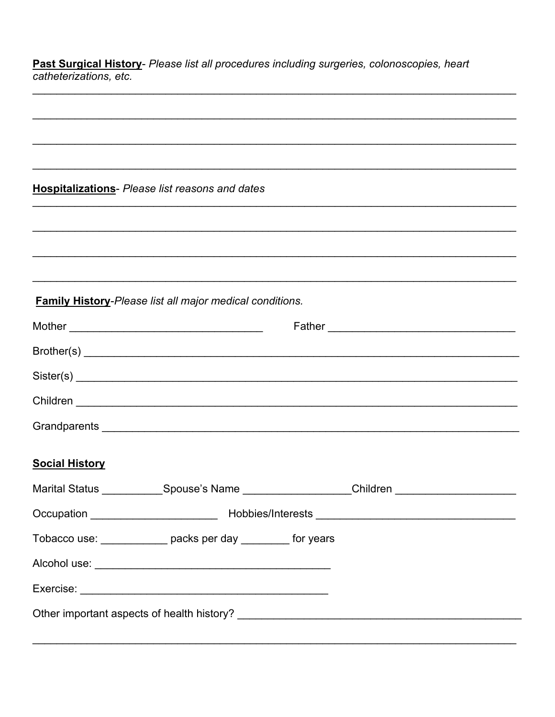Past Surgical History- Please list all procedures including surgeries, colonoscopies, heart catheterizations, etc.

| Hospitalizations- Please list reasons and dates |  |  |
|-------------------------------------------------|--|--|
|-------------------------------------------------|--|--|

# **Family History-Please list all major medical conditions.**

|                                                               | $\text{Sister}(s)$                                                                                  |  |  |  |  |
|---------------------------------------------------------------|-----------------------------------------------------------------------------------------------------|--|--|--|--|
|                                                               |                                                                                                     |  |  |  |  |
|                                                               |                                                                                                     |  |  |  |  |
|                                                               |                                                                                                     |  |  |  |  |
| <b>Social History</b>                                         |                                                                                                     |  |  |  |  |
|                                                               | Marital Status ______________Spouse's Name ____________________Children ___________________________ |  |  |  |  |
|                                                               |                                                                                                     |  |  |  |  |
| Tobacco use: ______________ packs per day _________ for years |                                                                                                     |  |  |  |  |
|                                                               |                                                                                                     |  |  |  |  |
|                                                               |                                                                                                     |  |  |  |  |
|                                                               |                                                                                                     |  |  |  |  |